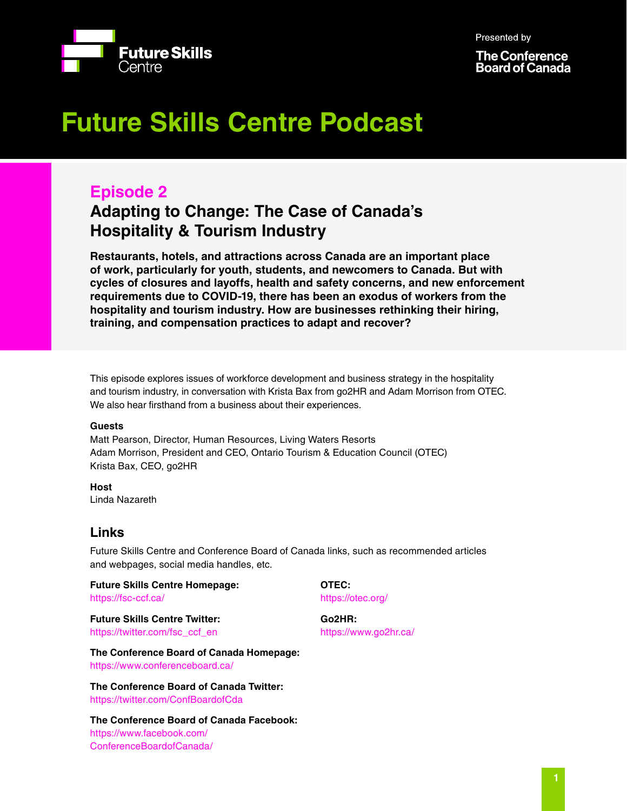Presented by



**The Conference Board of Canada** 

# **Future Skills Centre Podcast**

# **Episode 2**

# **Adapting to Change: The Case of Canada's Hospitality & Tourism Industry**

**Restaurants, hotels, and attractions across Canada are an important place of work, particularly for youth, students, and newcomers to Canada. But with cycles of closures and layoffs, health and safety concerns, and new enforcement requirements due to COVID-19, there has been an exodus of workers from the hospitality and tourism industry. How are businesses rethinking their hiring, training, and compensation practices to adapt and recover?**

This episode explores issues of workforce development and business strategy in the hospitality and tourism industry, in conversation with Krista Bax from go2HR and Adam Morrison from OTEC. We also hear firsthand from a business about their experiences.

# **Guests**

Matt Pearson, Director, Human Resources, Living Waters Resorts Adam Morrison, President and CEO, Ontario Tourism & Education Council (OTEC) Krista Bax, CEO, go2HR

**Host** Linda Nazareth

# **Links**

Future Skills Centre and Conference Board of Canada links, such as recommended articles and webpages, social media handles, etc.

**Future Skills Centre Homepage:** <https://fsc-ccf.ca/>

**Future Skills Centre Twitter:** [https://twitter.com/fsc\\_ccf\\_en](https://twitter.com/fsc_ccf_en )

**The Conference Board of Canada Homepage:**

[https://www.conferenceboard.ca/](https://www.conferenceboard.ca/ )

**The Conference Board of Canada Twitter:** [https://twitter.com/ConfBoardofCda](https://twitter.com/ConfBoardofCda )

**The Conference Board of Canada Facebook:** [https://www.facebook.com/](https://www.facebook.com/ConferenceBoardofCanada/) [ConferenceBoardofCanada/](https://www.facebook.com/ConferenceBoardofCanada/)

**OTEC:**  [https://otec.org/]( https://otec.org/)

**Go2HR:**  [https://www.go2hr.ca/](https://www.go2hr.ca/  )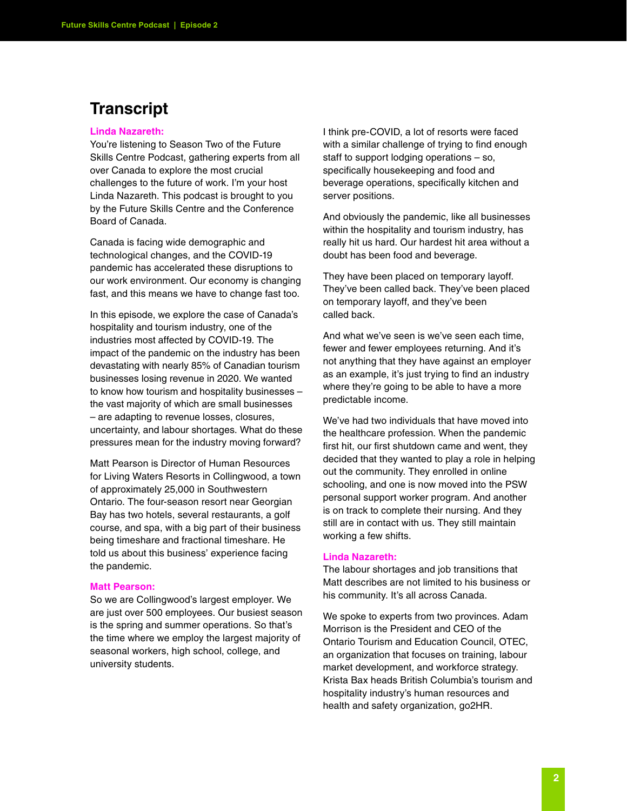# **Transcript**

# **Linda Nazareth:**

You're listening to Season Two of the Future Skills Centre Podcast, gathering experts from all over Canada to explore the most crucial challenges to the future of work. I'm your host Linda Nazareth. This podcast is brought to you by the Future Skills Centre and the Conference Board of Canada.

Canada is facing wide demographic and technological changes, and the COVID-19 pandemic has accelerated these disruptions to our work environment. Our economy is changing fast, and this means we have to change fast too.

In this episode, we explore the case of Canada's hospitality and tourism industry, one of the industries most affected by COVID-19. The impact of the pandemic on the industry has been devastating with nearly 85% of Canadian tourism businesses losing revenue in 2020. We wanted to know how tourism and hospitality businesses – the vast majority of which are small businesses – are adapting to revenue losses, closures, uncertainty, and labour shortages. What do these pressures mean for the industry moving forward?

Matt Pearson is Director of Human Resources for Living Waters Resorts in Collingwood, a town of approximately 25,000 in Southwestern Ontario. The four-season resort near Georgian Bay has two hotels, several restaurants, a golf course, and spa, with a big part of their business being timeshare and fractional timeshare. He told us about this business' experience facing the pandemic.

# **Matt Pearson:**

So we are Collingwood's largest employer. We are just over 500 employees. Our busiest season is the spring and summer operations. So that's the time where we employ the largest majority of seasonal workers, high school, college, and university students.

I think pre-COVID, a lot of resorts were faced with a similar challenge of trying to find enough staff to support lodging operations – so, specifically housekeeping and food and beverage operations, specifically kitchen and server positions.

And obviously the pandemic, like all businesses within the hospitality and tourism industry, has really hit us hard. Our hardest hit area without a doubt has been food and beverage.

They have been placed on temporary layoff. They've been called back. They've been placed on temporary layoff, and they've been called back.

And what we've seen is we've seen each time, fewer and fewer employees returning. And it's not anything that they have against an employer as an example, it's just trying to find an industry where they're going to be able to have a more predictable income.

We've had two individuals that have moved into the healthcare profession. When the pandemic first hit, our first shutdown came and went, they decided that they wanted to play a role in helping out the community. They enrolled in online schooling, and one is now moved into the PSW personal support worker program. And another is on track to complete their nursing. And they still are in contact with us. They still maintain working a few shifts.

### **Linda Nazareth:**

The labour shortages and job transitions that Matt describes are not limited to his business or his community. It's all across Canada.

We spoke to experts from two provinces. Adam Morrison is the President and CEO of the Ontario Tourism and Education Council, OTEC, an organization that focuses on training, labour market development, and workforce strategy. Krista Bax heads British Columbia's tourism and hospitality industry's human resources and health and safety organization, go2HR.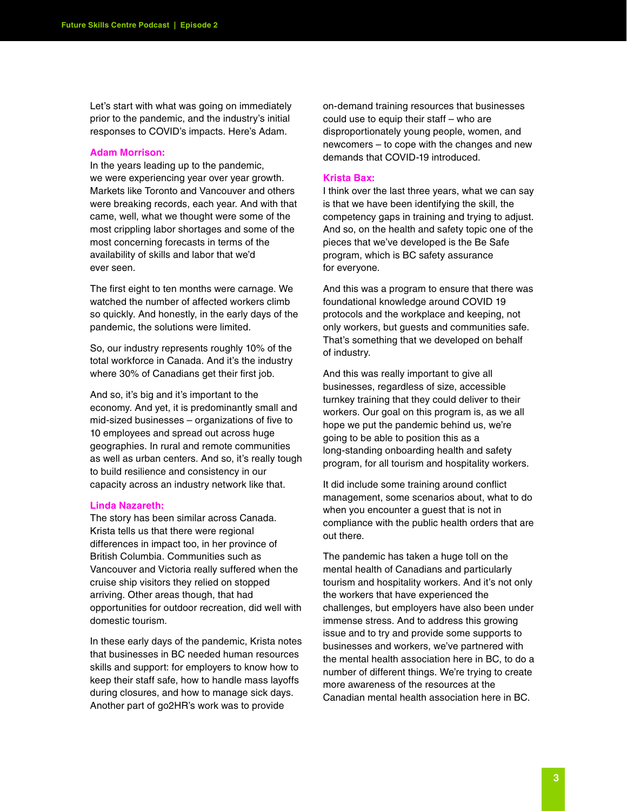Let's start with what was going on immediately prior to the pandemic, and the industry's initial responses to COVID's impacts. Here's Adam.

#### **Adam Morrison:**

In the years leading up to the pandemic, we were experiencing year over year growth. Markets like Toronto and Vancouver and others were breaking records, each year. And with that came, well, what we thought were some of the most crippling labor shortages and some of the most concerning forecasts in terms of the availability of skills and labor that we'd ever seen.

The first eight to ten months were carnage. We watched the number of affected workers climb so quickly. And honestly, in the early days of the pandemic, the solutions were limited.

So, our industry represents roughly 10% of the total workforce in Canada. And it's the industry where 30% of Canadians get their first job.

And so, it's big and it's important to the economy. And yet, it is predominantly small and mid-sized businesses – organizations of five to 10 employees and spread out across huge geographies. In rural and remote communities as well as urban centers. And so, it's really tough to build resilience and consistency in our capacity across an industry network like that.

## **Linda Nazareth:**

The story has been similar across Canada. Krista tells us that there were regional differences in impact too, in her province of British Columbia. Communities such as Vancouver and Victoria really suffered when the cruise ship visitors they relied on stopped arriving. Other areas though, that had opportunities for outdoor recreation, did well with domestic tourism.

In these early days of the pandemic, Krista notes that businesses in BC needed human resources skills and support: for employers to know how to keep their staff safe, how to handle mass layoffs during closures, and how to manage sick days. Another part of go2HR's work was to provide

on-demand training resources that businesses could use to equip their staff – who are disproportionately young people, women, and newcomers – to cope with the changes and new demands that COVID-19 introduced.

#### **Krista Bax:**

I think over the last three years, what we can say is that we have been identifying the skill, the competency gaps in training and trying to adjust. And so, on the health and safety topic one of the pieces that we've developed is the Be Safe program, which is BC safety assurance for everyone.

And this was a program to ensure that there was foundational knowledge around COVID 19 protocols and the workplace and keeping, not only workers, but guests and communities safe. That's something that we developed on behalf of industry.

And this was really important to give all businesses, regardless of size, accessible turnkey training that they could deliver to their workers. Our goal on this program is, as we all hope we put the pandemic behind us, we're going to be able to position this as a long-standing onboarding health and safety program, for all tourism and hospitality workers.

It did include some training around conflict management, some scenarios about, what to do when you encounter a guest that is not in compliance with the public health orders that are out there.

The pandemic has taken a huge toll on the mental health of Canadians and particularly tourism and hospitality workers. And it's not only the workers that have experienced the challenges, but employers have also been under immense stress. And to address this growing issue and to try and provide some supports to businesses and workers, we've partnered with the mental health association here in BC, to do a number of different things. We're trying to create more awareness of the resources at the Canadian mental health association here in BC.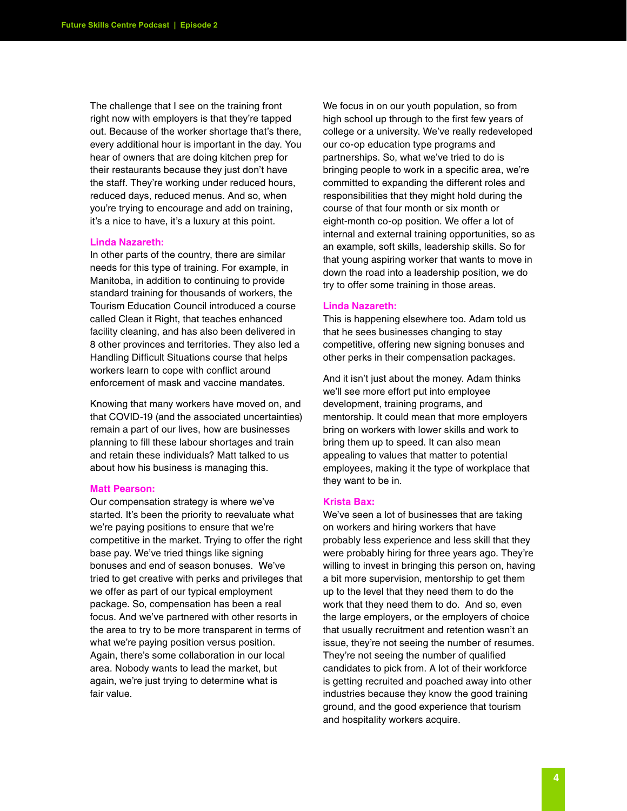The challenge that I see on the training front right now with employers is that they're tapped out. Because of the worker shortage that's there, every additional hour is important in the day. You hear of owners that are doing kitchen prep for their restaurants because they just don't have the staff. They're working under reduced hours, reduced days, reduced menus. And so, when you're trying to encourage and add on training, it's a nice to have, it's a luxury at this point.

#### **Linda Nazareth:**

In other parts of the country, there are similar needs for this type of training. For example, in Manitoba, in addition to continuing to provide standard training for thousands of workers, the Tourism Education Council introduced a course called Clean it Right, that teaches enhanced facility cleaning, and has also been delivered in 8 other provinces and territories. They also led a Handling Difficult Situations course that helps workers learn to cope with conflict around enforcement of mask and vaccine mandates.

Knowing that many workers have moved on, and that COVID-19 (and the associated uncertainties) remain a part of our lives, how are businesses planning to fill these labour shortages and train and retain these individuals? Matt talked to us about how his business is managing this.

## **Matt Pearson:**

Our compensation strategy is where we've started. It's been the priority to reevaluate what we're paying positions to ensure that we're competitive in the market. Trying to offer the right base pay. We've tried things like signing bonuses and end of season bonuses. We've tried to get creative with perks and privileges that we offer as part of our typical employment package. So, compensation has been a real focus. And we've partnered with other resorts in the area to try to be more transparent in terms of what we're paying position versus position. Again, there's some collaboration in our local area. Nobody wants to lead the market, but again, we're just trying to determine what is fair value.

We focus in on our youth population, so from high school up through to the first few years of college or a university. We've really redeveloped our co-op education type programs and partnerships. So, what we've tried to do is bringing people to work in a specific area, we're committed to expanding the different roles and responsibilities that they might hold during the course of that four month or six month or eight-month co-op position. We offer a lot of internal and external training opportunities, so as an example, soft skills, leadership skills. So for that young aspiring worker that wants to move in down the road into a leadership position, we do try to offer some training in those areas.

### **Linda Nazareth:**

This is happening elsewhere too. Adam told us that he sees businesses changing to stay competitive, offering new signing bonuses and other perks in their compensation packages.

And it isn't just about the money. Adam thinks we'll see more effort put into employee development, training programs, and mentorship. It could mean that more employers bring on workers with lower skills and work to bring them up to speed. It can also mean appealing to values that matter to potential employees, making it the type of workplace that they want to be in.

## **Krista Bax:**

We've seen a lot of businesses that are taking on workers and hiring workers that have probably less experience and less skill that they were probably hiring for three years ago. They're willing to invest in bringing this person on, having a bit more supervision, mentorship to get them up to the level that they need them to do the work that they need them to do. And so, even the large employers, or the employers of choice that usually recruitment and retention wasn't an issue, they're not seeing the number of resumes. They're not seeing the number of qualified candidates to pick from. A lot of their workforce is getting recruited and poached away into other industries because they know the good training ground, and the good experience that tourism and hospitality workers acquire.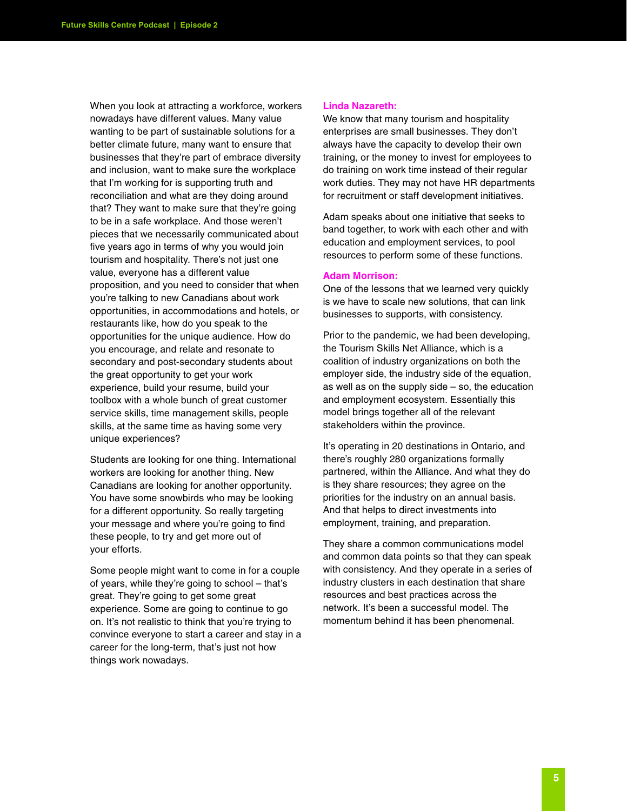When you look at attracting a workforce, workers nowadays have different values. Many value wanting to be part of sustainable solutions for a better climate future, many want to ensure that businesses that they're part of embrace diversity and inclusion, want to make sure the workplace that I'm working for is supporting truth and reconciliation and what are they doing around that? They want to make sure that they're going to be in a safe workplace. And those weren't pieces that we necessarily communicated about five years ago in terms of why you would join tourism and hospitality. There's not just one value, everyone has a different value proposition, and you need to consider that when you're talking to new Canadians about work opportunities, in accommodations and hotels, or restaurants like, how do you speak to the opportunities for the unique audience. How do you encourage, and relate and resonate to secondary and post-secondary students about the great opportunity to get your work experience, build your resume, build your toolbox with a whole bunch of great customer service skills, time management skills, people skills, at the same time as having some very unique experiences?

Students are looking for one thing. International workers are looking for another thing. New Canadians are looking for another opportunity. You have some snowbirds who may be looking for a different opportunity. So really targeting your message and where you're going to find these people, to try and get more out of your efforts.

Some people might want to come in for a couple of years, while they're going to school – that's great. They're going to get some great experience. Some are going to continue to go on. It's not realistic to think that you're trying to convince everyone to start a career and stay in a career for the long-term, that's just not how things work nowadays.

#### **Linda Nazareth:**

We know that many tourism and hospitality enterprises are small businesses. They don't always have the capacity to develop their own training, or the money to invest for employees to do training on work time instead of their regular work duties. They may not have HR departments for recruitment or staff development initiatives.

Adam speaks about one initiative that seeks to band together, to work with each other and with education and employment services, to pool resources to perform some of these functions.

#### **Adam Morrison:**

One of the lessons that we learned very quickly is we have to scale new solutions, that can link businesses to supports, with consistency.

Prior to the pandemic, we had been developing, the Tourism Skills Net Alliance, which is a coalition of industry organizations on both the employer side, the industry side of the equation, as well as on the supply side – so, the education and employment ecosystem. Essentially this model brings together all of the relevant stakeholders within the province.

It's operating in 20 destinations in Ontario, and there's roughly 280 organizations formally partnered, within the Alliance. And what they do is they share resources; they agree on the priorities for the industry on an annual basis. And that helps to direct investments into employment, training, and preparation.

They share a common communications model and common data points so that they can speak with consistency. And they operate in a series of industry clusters in each destination that share resources and best practices across the network. It's been a successful model. The momentum behind it has been phenomenal.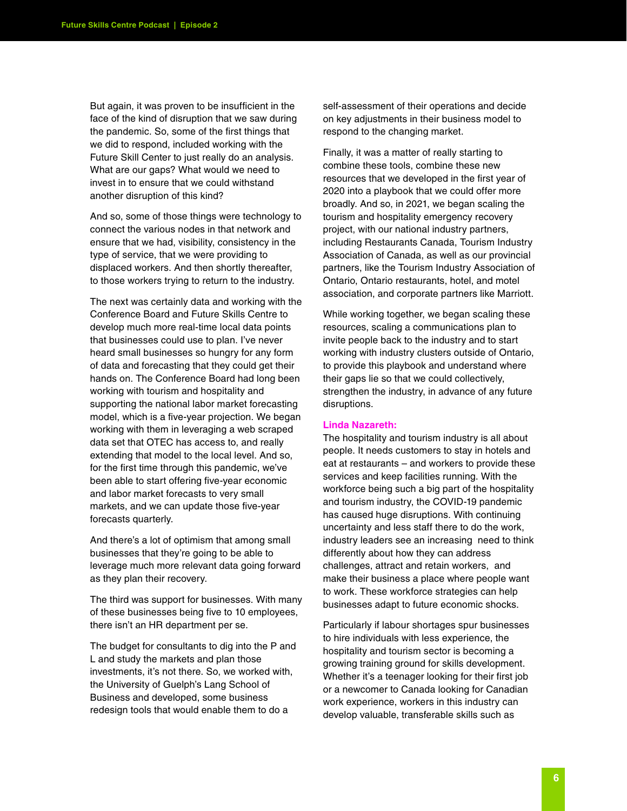But again, it was proven to be insufficient in the face of the kind of disruption that we saw during the pandemic. So, some of the first things that we did to respond, included working with the Future Skill Center to just really do an analysis. What are our gaps? What would we need to invest in to ensure that we could withstand another disruption of this kind?

And so, some of those things were technology to connect the various nodes in that network and ensure that we had, visibility, consistency in the type of service, that we were providing to displaced workers. And then shortly thereafter, to those workers trying to return to the industry.

The next was certainly data and working with the Conference Board and Future Skills Centre to develop much more real-time local data points that businesses could use to plan. I've never heard small businesses so hungry for any form of data and forecasting that they could get their hands on. The Conference Board had long been working with tourism and hospitality and supporting the national labor market forecasting model, which is a five-year projection. We began working with them in leveraging a web scraped data set that OTEC has access to, and really extending that model to the local level. And so, for the first time through this pandemic, we've been able to start offering five-year economic and labor market forecasts to very small markets, and we can update those five-year forecasts quarterly.

And there's a lot of optimism that among small businesses that they're going to be able to leverage much more relevant data going forward as they plan their recovery.

The third was support for businesses. With many of these businesses being five to 10 employees, there isn't an HR department per se.

The budget for consultants to dig into the P and L and study the markets and plan those investments, it's not there. So, we worked with, the University of Guelph's Lang School of Business and developed, some business redesign tools that would enable them to do a

self-assessment of their operations and decide on key adjustments in their business model to respond to the changing market.

Finally, it was a matter of really starting to combine these tools, combine these new resources that we developed in the first year of 2020 into a playbook that we could offer more broadly. And so, in 2021, we began scaling the tourism and hospitality emergency recovery project, with our national industry partners, including Restaurants Canada, Tourism Industry Association of Canada, as well as our provincial partners, like the Tourism Industry Association of Ontario, Ontario restaurants, hotel, and motel association, and corporate partners like Marriott.

While working together, we began scaling these resources, scaling a communications plan to invite people back to the industry and to start working with industry clusters outside of Ontario, to provide this playbook and understand where their gaps lie so that we could collectively, strengthen the industry, in advance of any future disruptions.

### **Linda Nazareth:**

The hospitality and tourism industry is all about people. It needs customers to stay in hotels and eat at restaurants – and workers to provide these services and keep facilities running. With the workforce being such a big part of the hospitality and tourism industry, the COVID-19 pandemic has caused huge disruptions. With continuing uncertainty and less staff there to do the work, industry leaders see an increasing need to think differently about how they can address challenges, attract and retain workers, and make their business a place where people want to work. These workforce strategies can help businesses adapt to future economic shocks.

Particularly if labour shortages spur businesses to hire individuals with less experience, the hospitality and tourism sector is becoming a growing training ground for skills development. Whether it's a teenager looking for their first job or a newcomer to Canada looking for Canadian work experience, workers in this industry can develop valuable, transferable skills such as